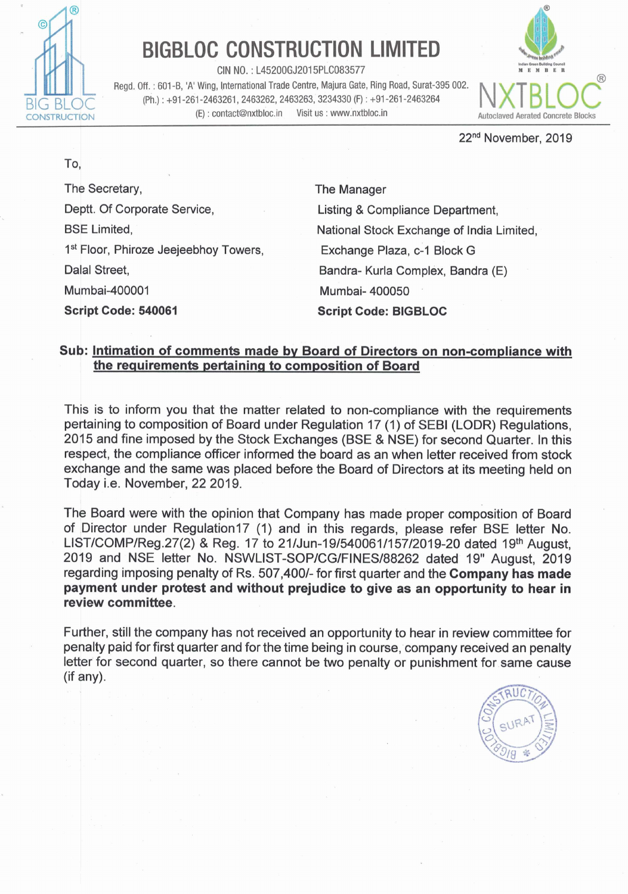

## **BIGBLOC CONSTRUCTION LIMITED**

**CIN NO.** : L45200GJ2015PLC083577

Regd. Off. : 601-6, 'A' Wing, International Trade Centre, Majura Gate, Ring Road, Surat-395 002. (Ph.) : **+91-261-2463261,2463262,2463263,3234330** (F) : +91-261-2463264 (E) : contact@nxtbloc.in Visit us : www.nxtbloc.in **Autoclaved Aerated Concrete Blocks** 



**22nd** November, 2019

The Secretary, Deptt. Of Corporate Service, BSE Limited, 1<sup>st</sup> Floor, Phiroze Jeejeebhoy Towers, Dalal Street, Mumbai-400001 **Script Code:** 540061

The Manager Listing & Compliance Department, National Stock Exchange of India Limited, Exchange Plaza, c-I Block G Bandra- Kurla Complex, Bandra (E) Mumbai- 400050 . **Script Code: BIGBLOC** 

## **Sub: Intimation of comments made bv Board of Directors on non-compliance with the requirements pertainina to comeosition of Board**

This is to inform you that the matter related to non-compliance with the requirements pertaining to composition of Board under Regulation 17 (1) of SEBl (LODR) Regulations, 2015 and fine imposed by the Stock Exchanges (BSE & NSE) for second Quarter. In this respect, the compliance officer informed the board as an when letter received from stock exchange and the same was placed before the Board of Directors at its meeting held on Today i.e. November, 22 2019.

The Board were with the opinion that Company has made proper composition of Board of Director under Regulation17 (1) and in this regards, please refer BSE letter No. LIST/COMP/Reg.27(2) & Reg. 17 to **21IJun-19/540061/157/2019-20** dated 1 **gth** August, 2019 and NSE letter No. NSWLIST-SOP/CG/FINES/88262 dated 19" August, 2019 regarding imposing penalty of Rs. 507,4001- for first quarter and the **Company has made payment under protest and without prejudice to give as an opportunity to hear in review committee.** 

Further, still the company has not received an opportunity to hear in review committee for penalty paid for first quarter and for the time being in course, company received an penalty letter for second quarter, so there cannot be two penalty or punishment for same cause (if anv).



To.